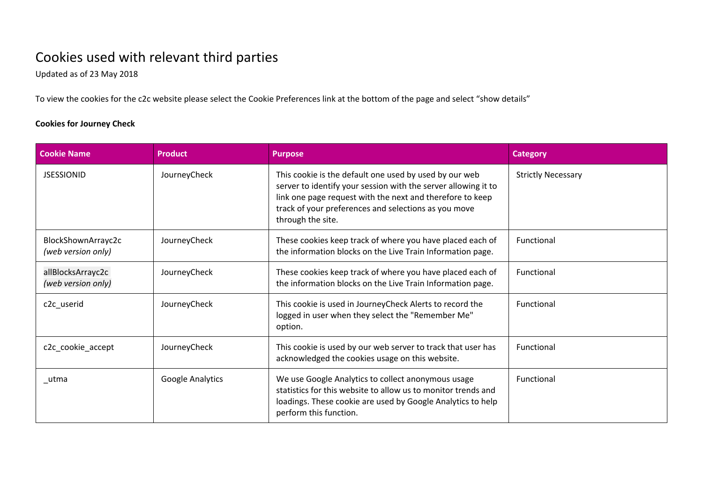## Cookies used with relevant third parties

Updated as of 23 May 2018

To view the cookies for the c2c website please select the Cookie Preferences link at the bottom of the page and select "show details"

## **Cookies for Journey Check**

| <b>Cookie Name</b>                       | <b>Product</b>          | <b>Purpose</b>                                                                                                                                                                                                                                                     | <b>Category</b>           |
|------------------------------------------|-------------------------|--------------------------------------------------------------------------------------------------------------------------------------------------------------------------------------------------------------------------------------------------------------------|---------------------------|
| <b>JSESSIONID</b>                        | JourneyCheck            | This cookie is the default one used by used by our web<br>server to identify your session with the server allowing it to<br>link one page request with the next and therefore to keep<br>track of your preferences and selections as you move<br>through the site. | <b>Strictly Necessary</b> |
| BlockShownArrayc2c<br>(web version only) | JourneyCheck            | These cookies keep track of where you have placed each of<br>the information blocks on the Live Train Information page.                                                                                                                                            | Functional                |
| allBlocksArrayc2c<br>(web version only)  | JourneyCheck            | These cookies keep track of where you have placed each of<br>the information blocks on the Live Train Information page.                                                                                                                                            | Functional                |
| c2c_userid                               | JourneyCheck            | This cookie is used in JourneyCheck Alerts to record the<br>logged in user when they select the "Remember Me"<br>option.                                                                                                                                           | Functional                |
| c2c_cookie_accept                        | JourneyCheck            | This cookie is used by our web server to track that user has<br>acknowledged the cookies usage on this website.                                                                                                                                                    | Functional                |
| _utma                                    | <b>Google Analytics</b> | We use Google Analytics to collect anonymous usage<br>statistics for this website to allow us to monitor trends and<br>loadings. These cookie are used by Google Analytics to help<br>perform this function.                                                       | Functional                |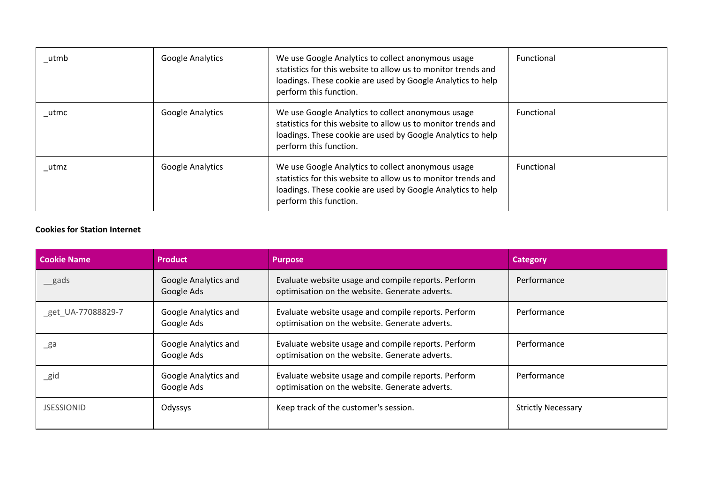| _utmb | <b>Google Analytics</b> | We use Google Analytics to collect anonymous usage<br>statistics for this website to allow us to monitor trends and<br>loadings. These cookie are used by Google Analytics to help<br>perform this function. | <b>Functional</b> |
|-------|-------------------------|--------------------------------------------------------------------------------------------------------------------------------------------------------------------------------------------------------------|-------------------|
| utmc  | <b>Google Analytics</b> | We use Google Analytics to collect anonymous usage<br>statistics for this website to allow us to monitor trends and<br>loadings. These cookie are used by Google Analytics to help<br>perform this function. | <b>Functional</b> |
| _utmz | <b>Google Analytics</b> | We use Google Analytics to collect anonymous usage<br>statistics for this website to allow us to monitor trends and<br>loadings. These cookie are used by Google Analytics to help<br>perform this function. | Functional        |

## **Cookies for Station Internet**

| <b>Cookie Name</b> | <b>Product</b>                     | <b>Purpose</b>                                                                                        | <b>Category</b>           |
|--------------------|------------------------------------|-------------------------------------------------------------------------------------------------------|---------------------------|
| gads               | Google Analytics and<br>Google Ads | Evaluate website usage and compile reports. Perform<br>optimisation on the website. Generate adverts. | Performance               |
| get UA-77088829-7  | Google Analytics and<br>Google Ads | Evaluate website usage and compile reports. Perform<br>optimisation on the website. Generate adverts. | Performance               |
| _ga                | Google Analytics and<br>Google Ads | Evaluate website usage and compile reports. Perform<br>optimisation on the website. Generate adverts. | Performance               |
| _gid               | Google Analytics and<br>Google Ads | Evaluate website usage and compile reports. Perform<br>optimisation on the website. Generate adverts. | Performance               |
| <b>JSESSIONID</b>  | Odyssys                            | Keep track of the customer's session.                                                                 | <b>Strictly Necessary</b> |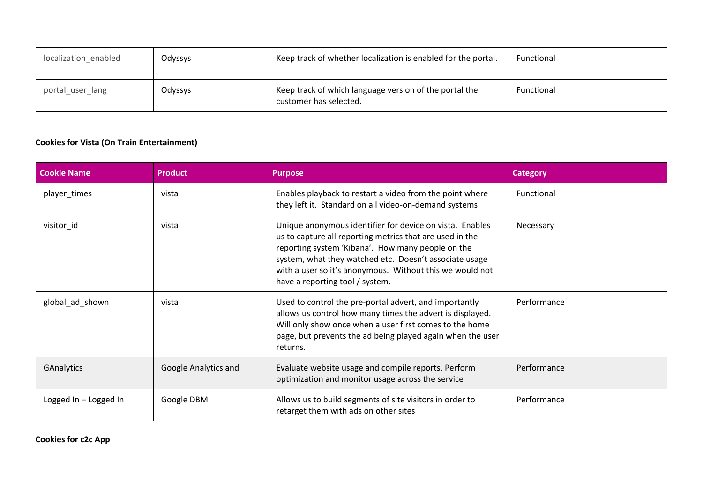| localization_enabled | Odyssys | Keep track of whether localization is enabled for the portal.                    | Functional |
|----------------------|---------|----------------------------------------------------------------------------------|------------|
| portal user lang     | Odyssys | Keep track of which language version of the portal the<br>customer has selected. | Functional |

## **Cookies for Vista (On Train Entertainment)**

| <b>Cookie Name</b>      | <b>Product</b>       | <b>Purpose</b>                                                                                                                                                                                                                                                                                                                     | <b>Category</b> |
|-------------------------|----------------------|------------------------------------------------------------------------------------------------------------------------------------------------------------------------------------------------------------------------------------------------------------------------------------------------------------------------------------|-----------------|
| player_times            | vista                | Enables playback to restart a video from the point where<br>they left it. Standard on all video-on-demand systems                                                                                                                                                                                                                  | Functional      |
| visitor_id              | vista                | Unique anonymous identifier for device on vista. Enables<br>us to capture all reporting metrics that are used in the<br>reporting system 'Kibana'. How many people on the<br>system, what they watched etc. Doesn't associate usage<br>with a user so it's anonymous. Without this we would not<br>have a reporting tool / system. | Necessary       |
| global_ad_shown         | vista                | Used to control the pre-portal advert, and importantly<br>allows us control how many times the advert is displayed.<br>Will only show once when a user first comes to the home<br>page, but prevents the ad being played again when the user<br>returns.                                                                           | Performance     |
| GAnalytics              | Google Analytics and | Evaluate website usage and compile reports. Perform<br>optimization and monitor usage across the service                                                                                                                                                                                                                           | Performance     |
| Logged $In - Logged In$ | Google DBM           | Allows us to build segments of site visitors in order to<br>retarget them with ads on other sites                                                                                                                                                                                                                                  | Performance     |

**Cookies for c2c App**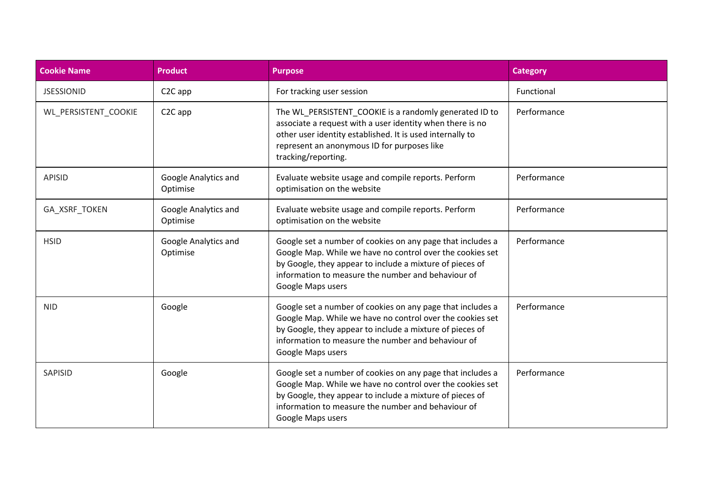| <b>Cookie Name</b>   | <b>Product</b>                   | <b>Purpose</b>                                                                                                                                                                                                                                                 | <b>Category</b> |
|----------------------|----------------------------------|----------------------------------------------------------------------------------------------------------------------------------------------------------------------------------------------------------------------------------------------------------------|-----------------|
| <b>JSESSIONID</b>    | C <sub>2</sub> C app             | For tracking user session                                                                                                                                                                                                                                      | Functional      |
| WL_PERSISTENT_COOKIE | C <sub>2</sub> C app             | The WL_PERSISTENT_COOKIE is a randomly generated ID to<br>associate a request with a user identity when there is no<br>other user identity established. It is used internally to<br>represent an anonymous ID for purposes like<br>tracking/reporting.         | Performance     |
| <b>APISID</b>        | Google Analytics and<br>Optimise | Evaluate website usage and compile reports. Perform<br>optimisation on the website                                                                                                                                                                             | Performance     |
| GA_XSRF_TOKEN        | Google Analytics and<br>Optimise | Evaluate website usage and compile reports. Perform<br>optimisation on the website                                                                                                                                                                             | Performance     |
| <b>HSID</b>          | Google Analytics and<br>Optimise | Google set a number of cookies on any page that includes a<br>Google Map. While we have no control over the cookies set<br>by Google, they appear to include a mixture of pieces of<br>information to measure the number and behaviour of<br>Google Maps users | Performance     |
| <b>NID</b>           | Google                           | Google set a number of cookies on any page that includes a<br>Google Map. While we have no control over the cookies set<br>by Google, they appear to include a mixture of pieces of<br>information to measure the number and behaviour of<br>Google Maps users | Performance     |
| SAPISID              | Google                           | Google set a number of cookies on any page that includes a<br>Google Map. While we have no control over the cookies set<br>by Google, they appear to include a mixture of pieces of<br>information to measure the number and behaviour of<br>Google Maps users | Performance     |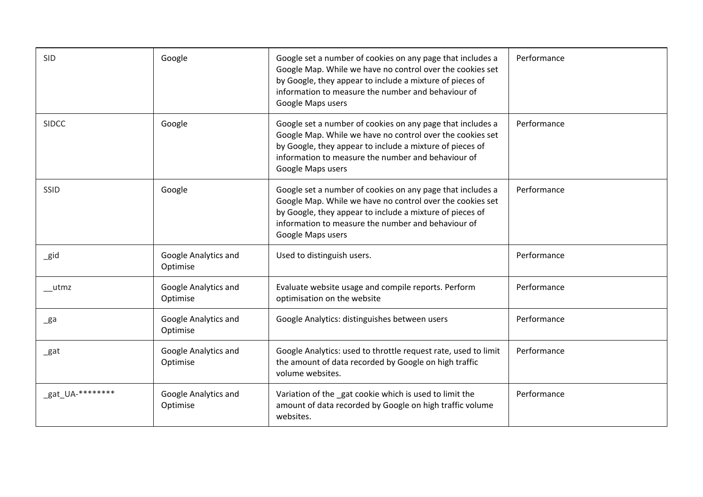| <b>SID</b>         | Google                           | Google set a number of cookies on any page that includes a<br>Google Map. While we have no control over the cookies set<br>by Google, they appear to include a mixture of pieces of<br>information to measure the number and behaviour of<br>Google Maps users | Performance |
|--------------------|----------------------------------|----------------------------------------------------------------------------------------------------------------------------------------------------------------------------------------------------------------------------------------------------------------|-------------|
| <b>SIDCC</b>       | Google                           | Google set a number of cookies on any page that includes a<br>Google Map. While we have no control over the cookies set<br>by Google, they appear to include a mixture of pieces of<br>information to measure the number and behaviour of<br>Google Maps users | Performance |
| SSID               | Google                           | Google set a number of cookies on any page that includes a<br>Google Map. While we have no control over the cookies set<br>by Google, they appear to include a mixture of pieces of<br>information to measure the number and behaviour of<br>Google Maps users | Performance |
| $\_$ gid           | Google Analytics and<br>Optimise | Used to distinguish users.                                                                                                                                                                                                                                     | Performance |
| $_{\text{m}}$ utmz | Google Analytics and<br>Optimise | Evaluate website usage and compile reports. Perform<br>optimisation on the website                                                                                                                                                                             | Performance |
| $\mathsf{g}$ a     | Google Analytics and<br>Optimise | Google Analytics: distinguishes between users                                                                                                                                                                                                                  | Performance |
| $\_$ gat           | Google Analytics and<br>Optimise | Google Analytics: used to throttle request rate, used to limit<br>the amount of data recorded by Google on high traffic<br>volume websites.                                                                                                                    | Performance |
| _gat_UA-********   | Google Analytics and<br>Optimise | Variation of the gat cookie which is used to limit the<br>amount of data recorded by Google on high traffic volume<br>websites.                                                                                                                                | Performance |